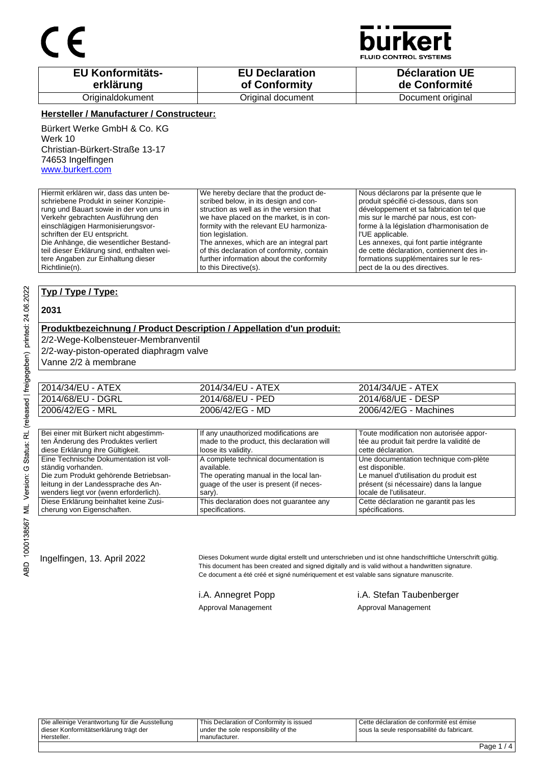

**JID CONTROL SYSTEMS** 

| <b>EU Konformitäts-</b> | <b>EU Declaration</b> | <b>Déclaration UE</b> |
|-------------------------|-----------------------|-----------------------|
| erklärung               | of Conformity         | de Conformité         |
| Originaldokument        | Original document     | Document original     |

## **Hersteller / Manufacturer / Constructeur:**

Bürkert Werke GmbH & Co. KG Werk 10 Christian-Bürkert-Straße 13-17 74653 Ingelfingen www.burkert.com

Hiermit erklären wir, dass das unten beschriebene Produkt in seiner Konzipierung und Bauart sowie in der von uns in Verkehr gebrachten Ausführung den einschlägigen Harmonisierungsvorschriften der EU entspricht. Die Anhänge, die wesentlicher Bestandteil dieser Erklärung sind, enthalten weitere Angaben zur Einhaltung dieser Richtlinie(n). We hereby declare that the product described below, in its design and construction as well as in the version that we have placed on the market, is in conformity with the relevant EU harmonization legislation. The annexes, which are an integral part of this declaration of conformity, contain further information about the conformity to this Directive(s). Nous déclarons par la présente que le produit spécifié ci-dessous, dans son développement et sa fabrication tel que mis sur le marché par nous, est conforme à la législation d'harmonisation de l'UE applicable. Les annexes, qui font partie intégrante de cette déclaration, contiennent des informations supplémentaires sur le respect de la ou des directives.

## **Typ / Type / Type:**

#### **2031**

## **Produktbezeichnung / Product Description / Appellation d'un produit:**

2/2-Wege-Kolbensteuer-Membranventil

2/2-way-piston-operated diaphragm valve

Vanne 2/2 à membrane

| 2014/34/EU - ATEX | 2014/34/EU - ATEX | 2014/34/UE - ATEX     |
|-------------------|-------------------|-----------------------|
| 2014/68/EU - DGRL | 2014/68/EU - PED  | 2014/68/UE - DESP     |
| 2006/42/EG - MRL  | 2006/42/EG - MD   | 2006/42/EG - Machines |

| Bei einer mit Bürkert nicht abgestimm-  | If any unauthorized modifications are      | Toute modification non autorisée appor-   |
|-----------------------------------------|--------------------------------------------|-------------------------------------------|
| ten Änderung des Produktes verliert     | made to the product, this declaration will | tée au produit fait perdre la validité de |
| diese Erklärung ihre Gültigkeit.        | loose its validity.                        | cette déclaration.                        |
| Eine Technische Dokumentation ist voll- | A complete technical documentation is      | Une documentation technique com-plète     |
| ständig vorhanden.                      | available.                                 | est disponible.                           |
| Die zum Produkt gehörende Betriebsan-   | The operating manual in the local lan-     | Le manuel d'utilisation du produit est    |
| leitung in der Landessprache des An-    | quage of the user is present (if neces-    | présent (si nécessaire) dans la langue    |
| wenders liegt vor (wenn erforderlich).  | sary).                                     | locale de l'utilisateur.                  |
| Diese Erklärung beinhaltet keine Zusi-  | This declaration does not guarantee any    | Cette déclaration ne garantit pas les     |
| cherung von Eigenschaften.              | specifications.                            | spécifications.                           |

Ingelfingen, 13. April 2022 Dieses Dokument wurde digital erstellt und unterschrieben und ist ohne handschriftliche Unterschrift gültig. This document has been created and signed digitally and is valid without a handwritten signature. Ce document a été créé et signé numériquement et est valable sans signature manuscrite.

Approval Management **Approval Management** Approval Management

i.A. Annegret Popp i.A. Stefan Taubenberger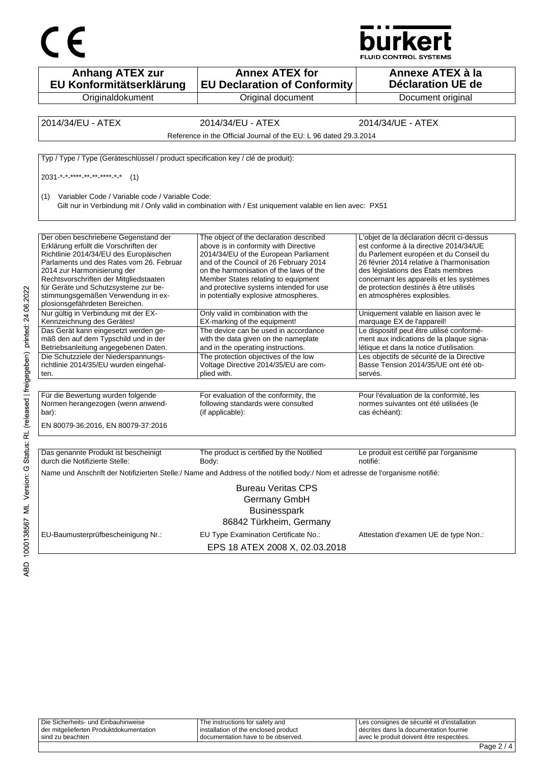



| <b>Anhang ATEX zur</b><br>EU Konformitätserklärung                                                                                                                                                                                                                                                                                                            | <b>Annex ATEX for</b><br><b>EU Declaration of Conformity</b>                                                                                                                                                                                                                                                                              | Annexe ATEX à la<br><b>Déclaration UE de</b>                                                                                                                                                                                                                                                                                            |
|---------------------------------------------------------------------------------------------------------------------------------------------------------------------------------------------------------------------------------------------------------------------------------------------------------------------------------------------------------------|-------------------------------------------------------------------------------------------------------------------------------------------------------------------------------------------------------------------------------------------------------------------------------------------------------------------------------------------|-----------------------------------------------------------------------------------------------------------------------------------------------------------------------------------------------------------------------------------------------------------------------------------------------------------------------------------------|
| Originaldokument                                                                                                                                                                                                                                                                                                                                              | Original document                                                                                                                                                                                                                                                                                                                         | Document original                                                                                                                                                                                                                                                                                                                       |
| 2014/34/EU - ATEX                                                                                                                                                                                                                                                                                                                                             | 2014/34/EU - ATEX                                                                                                                                                                                                                                                                                                                         | 2014/34/UE - ATEX                                                                                                                                                                                                                                                                                                                       |
|                                                                                                                                                                                                                                                                                                                                                               | Reference in the Official Journal of the EU: L 96 dated 29.3.2014                                                                                                                                                                                                                                                                         |                                                                                                                                                                                                                                                                                                                                         |
|                                                                                                                                                                                                                                                                                                                                                               |                                                                                                                                                                                                                                                                                                                                           |                                                                                                                                                                                                                                                                                                                                         |
| Typ / Type / Type (Geräteschlüssel / product specification key / clé de produit):                                                                                                                                                                                                                                                                             |                                                                                                                                                                                                                                                                                                                                           |                                                                                                                                                                                                                                                                                                                                         |
| 2031 * * **** ** ** **** * *<br>(1)                                                                                                                                                                                                                                                                                                                           |                                                                                                                                                                                                                                                                                                                                           |                                                                                                                                                                                                                                                                                                                                         |
| (1) Variabler Code / Variable code / Variable Code:                                                                                                                                                                                                                                                                                                           | Gilt nur in Verbindung mit / Only valid in combination with / Est uniquement valable en lien avec: PX51                                                                                                                                                                                                                                   |                                                                                                                                                                                                                                                                                                                                         |
| Der oben beschriebene Gegenstand der<br>Erklärung erfüllt die Vorschriften der<br>Richtlinie 2014/34/EU des Europäischen<br>Parlaments und des Rates vom 26. Februar<br>2014 zur Harmonisierung der<br>Rechtsvorschriften der Mitgliedstaaten<br>für Geräte und Schutzsysteme zur be-<br>stimmungsgemäßen Verwendung in ex-<br>plosionsgefährdeten Bereichen. | The object of the declaration described<br>above is in conformity with Directive<br>2014/34/EU of the European Parliament<br>and of the Council of 26 February 2014<br>on the harmonisation of the laws of the<br>Member States relating to equipment<br>and protective systems intended for use<br>in potentially explosive atmospheres. | L'objet de la déclaration décrit ci-dessus<br>est conforme à la directive 2014/34/UE<br>du Parlement européen et du Conseil du<br>26 février 2014 relative à l'harmonisation<br>des législations des États membres<br>concernant les appareils et les systèmes<br>de protection destinés à être utilisés<br>en atmosphères explosibles. |
| Nur gültig in Verbindung mit der EX-<br>Kennzeichnung des Gerätes!                                                                                                                                                                                                                                                                                            | Only valid in combination with the<br>EX-marking of the equipment!                                                                                                                                                                                                                                                                        | Uniquement valable en liaison avec le<br>marquage EX de l'appareil!                                                                                                                                                                                                                                                                     |
| Das Gerät kann eingesetzt werden ge-<br>mäß den auf dem Typschild und in der<br>Betriebsanleitung angegebenen Daten.                                                                                                                                                                                                                                          | The device can be used in accordance<br>with the data given on the nameplate<br>and in the operating instructions.                                                                                                                                                                                                                        | Le dispositif peut être utilisé conformé-<br>ment aux indications de la plaque signa-<br>létique et dans la notice d'utilisation.                                                                                                                                                                                                       |
| Die Schutzziele der Niederspannungs-<br>richtlinie 2014/35/EU wurden eingehal-<br>ten.                                                                                                                                                                                                                                                                        | The protection objectives of the low<br>Voltage Directive 2014/35/EU are com-<br>plied with.                                                                                                                                                                                                                                              | Les objectifs de sécurité de la Directive<br>Basse Tension 2014/35/UE ont été ob-<br>servés.                                                                                                                                                                                                                                            |
| Für die Bewertung wurden folgende<br>Normen herangezogen (wenn anwend-<br>bar):<br>EN 80079-36:2016, EN 80079-37:2016                                                                                                                                                                                                                                         | For evaluation of the conformity, the<br>following standards were consulted<br>(if applicable):                                                                                                                                                                                                                                           | Pour l'évaluation de la conformité, les<br>normes suivantes ont été utilisées (le<br>cas échéant):                                                                                                                                                                                                                                      |
| Das genannte Produkt ist bescheinigt<br>durch die Notifizierte Stelle:                                                                                                                                                                                                                                                                                        | The product is certified by the Notified<br>Body:                                                                                                                                                                                                                                                                                         | Le produit est certifié par l'organisme<br>notifié:                                                                                                                                                                                                                                                                                     |
|                                                                                                                                                                                                                                                                                                                                                               | Name und Anschrift der Notifizierten Stelle:/ Name and Address of the notified body:/ Nom et adresse de l'organisme notifié:                                                                                                                                                                                                              |                                                                                                                                                                                                                                                                                                                                         |
|                                                                                                                                                                                                                                                                                                                                                               | <b>Bureau Veritas CPS</b><br>Germany GmbH<br><b>Businesspark</b><br>86842 Türkheim, Germany                                                                                                                                                                                                                                               |                                                                                                                                                                                                                                                                                                                                         |
| EU-Baumusterprüfbescheinigung Nr.:                                                                                                                                                                                                                                                                                                                            | EU Type Examination Certificate No.:<br>EPS 18 ATEX 2008 X, 02.03.2018                                                                                                                                                                                                                                                                    | Attestation d'examen UE de type Non.:                                                                                                                                                                                                                                                                                                   |

| sind zu beachten                        | documentation have to be observed.     | I avec le produit doivent être respectées.    |  |
|-----------------------------------------|----------------------------------------|-----------------------------------------------|--|
| der mitgelieferten Produktdokumentation | I installation of the enclosed product | décrites dans la documentation fournie        |  |
| Die Sicherheits- und Einbauhinweise     | The instructions for safety and        | I Les consignes de sécurité et d'installation |  |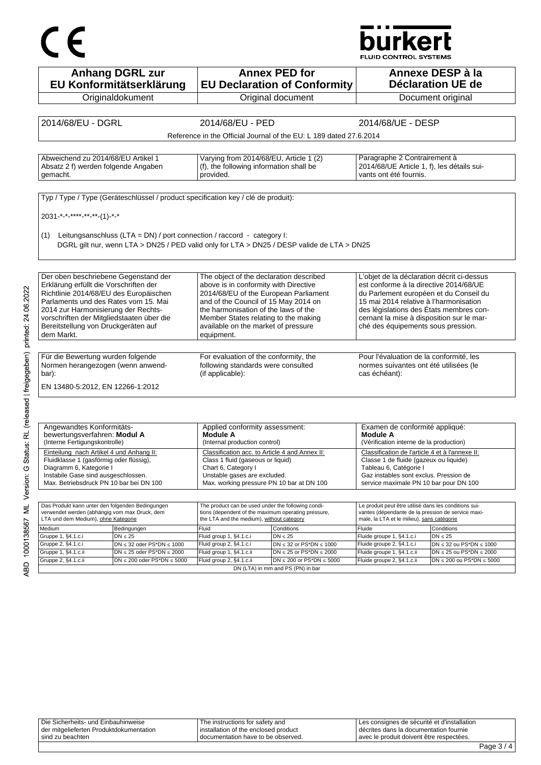# urkert

**Anhang DGRL zur EU Konformitätserklärung Originaldokument Annex PED for EU Declaration of Conformity** Original document **Annexe DESP à la Déclaration UE de**  Document original 2014/68/EU - DGRL 2014/68/EU - PED 2014/68/UE - DESP Reference in the Official Journal of the EU: L 189 dated 27.6.2014 Abweichend zu 2014/68/EU Artikel 1 Absatz 2 f) werden folgende Angaben gemacht. Varying from 2014/68/EU, Article 1 (2) (f), the following information shall be provided. Paragraphe 2 Contrairement à 2014/68/UE Article 1, f), les détails suivants ont été fournis. Typ / Type / Type (Geräteschlüssel / product specification key / clé de produit): 2031-\*-\*-\*\*\*\*-\*\*-\*\*-(1)-\*-\* (1) Leitungsanschluss (LTA = DN) / port connection / raccord - category I: DGRL gilt nur, wenn LTA > DN25 / PED valid only for LTA > DN25 / DESP valide de LTA > DN25 Der oben beschriebene Gegenstand der Erklärung erfüllt die Vorschriften der Richtlinie 2014/68/EU des Europäischen Parlaments und des Rates vom 15. Mai 2014 zur Harmonisierung der Rechtsvorschriften der Mitgliedstaaten über die Bereitstellung von Druckgeräten auf dem Markt. The object of the declaration described above is in conformity with Directive 2014/68/EU of the European Parliament and of the Council of 15 May 2014 on the harmonisation of the laws of the Member States relating to the making available on the market of pressure equipment. L'objet de la déclaration décrit ci-dessus est conforme à la directive 2014/68/UE du Parlement européen et du Conseil du 15 mai 2014 relative à l'harmonisation des législations des États membres concernant la mise à disposition sur le marché des équipements sous pression. Für die Bewertung wurden folgende Normen herangezogen (wenn anwendbar): For evaluation of the conformity, the following standards were consulted (if applicable): Pour l'évaluation de la conformité, les normes suivantes ont été utilisées (le cas échéant): EN 13480-5:2012, EN 12266-1:2012 Angewandtes Konformitätsbewertungsverfahren: **Modul A** (Interne Fertigungskontrolle) Applied conformity assessment: **Module A** (Internal production control) Examen de conformité appliqué: **Module A** (Vérification interne de la production) Einteilung nach Artikel 4 und Anhang II: Fluidklasse 1 (gasförmig oder flüssig), Diagramm 6, Kategorie I Instabile Gase sind ausgeschlossen. Max. Betriebsdruck PN 10 bar bei DN 100 Classification acc. to Article 4 and Annex II: Class 1 fluid (gaseous or liquid) Chart 6, Category I Unstable gases are excluded. Max. working pressure PN 10 bar at DN 100 Classification de l'article 4 et à l'annexe II: Classe 1 de fluide (gazeux ou liquide) Tableau 6, Catégorie I Gaz instables sont exclus. Pression de service maximale PN 10 bar pour DN 100 Das Produkt kann unter den folgenden Bedingungen verwendet werden (abhängig vom max Druck, dem LTA und dem Medium), ohne Kategorie The product can be used under the following condithe product can be doed and the rememing center. the I TA and the medium), without category Le produit peut être utilisé dans les conditions suivantes (dépendante de la pression de service maximale, la LTA et le milieu), sans catégorie Medium Bedingungen Fluid Conditions Fluide Conditions Gruppe 1, §4.1.c.i  $DN \leq 25$  Fluide group 1, §4.1.c.i  $DN \leq 25$  Fluide groupe 1, §4.1.c.i  $DN \leq 25$ Gruppe 2, §4.1.c.i DN ≤ 32 oder PS\*DN ≤ 1000 Fluid group 2, §4.1.c.i DN ≤ 32 or PS\*DN ≤ 1000 Fluide groupe 2, §4.1.c.i DN ≤ 32 ou PS\*DN ≤ 1000<br>Gruppe 1, §4.1.c.ii DN ≤ 25 oder PS\*DN ≤ 2000 Fluid group 1, §4.1.c.ii DN ≤ 25 Gruppe 1, §4.1.c.ii DN ≤ 25 oder PS\*DN ≤ 2000 Fluid group 1, §4.1.c.ii DN ≤ 25 or PS\*DN ≤ 2000 Fluide groupe 1, §4.1.c.ii Gruppe 2, §4.1.c.ii DN ≤ 200 oder PS\*DN ≤ 5000 Fluid group 2, §4.1.c.ii DN ≤ 200 or PS\*DN ≤ 5000 Fluide groupe 2, §4.1.c.ii DN ≤ 200 ou PS\*DN ≤ 5000

Die Sicherheits- und Einbauhinweise der mitgelieferten Produktdokumentation sind zu beachten The instructions for safety and installation of the enclosed product documentation have to be observed. Les consignes de sécurité et d'installation décrites dans la documentation fournie avec le produit doivent être respectées.

DN (LTA) in mm and PS (PN) in bar